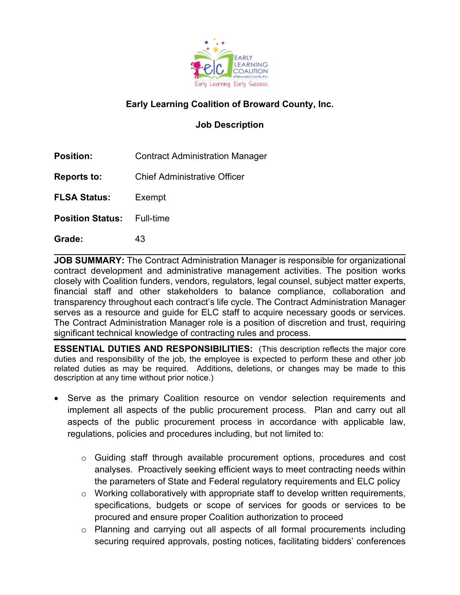

# **Early Learning Coalition of Broward County, Inc.**

## **Job Description**

**Position:** Contract Administration Manager

**Reports to:** Chief Administrative Officer

**FLSA Status:** Exempt

**Position Status:** Full-time

**Grade:** 43

**JOB SUMMARY:** The Contract Administration Manager is responsible for organizational contract development and administrative management activities. The position works closely with Coalition funders, vendors, regulators, legal counsel, subject matter experts, financial staff and other stakeholders to balance compliance, collaboration and transparency throughout each contract's life cycle. The Contract Administration Manager serves as a resource and guide for ELC staff to acquire necessary goods or services. The Contract Administration Manager role is a position of discretion and trust, requiring significant technical knowledge of contracting rules and process.

**ESSENTIAL DUTIES AND RESPONSIBILITIES:** (This description reflects the major core duties and responsibility of the job, the employee is expected to perform these and other job related duties as may be required. Additions, deletions, or changes may be made to this description at any time without prior notice.)

- Serve as the primary Coalition resource on vendor selection requirements and implement all aspects of the public procurement process. Plan and carry out all aspects of the public procurement process in accordance with applicable law, regulations, policies and procedures including, but not limited to:
	- $\circ$  Guiding staff through available procurement options, procedures and cost analyses. Proactively seeking efficient ways to meet contracting needs within the parameters of State and Federal regulatory requirements and ELC policy
	- $\circ$  Working collaboratively with appropriate staff to develop written requirements, specifications, budgets or scope of services for goods or services to be procured and ensure proper Coalition authorization to proceed
	- $\circ$  Planning and carrying out all aspects of all formal procurements including securing required approvals, posting notices, facilitating bidders' conferences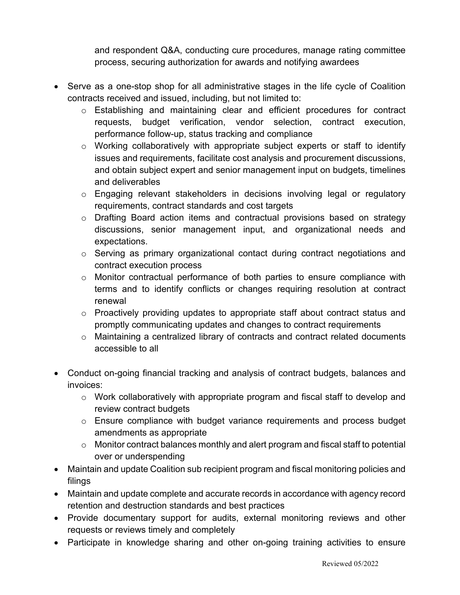and respondent Q&A, conducting cure procedures, manage rating committee process, securing authorization for awards and notifying awardees

- Serve as a one-stop shop for all administrative stages in the life cycle of Coalition contracts received and issued, including, but not limited to:
	- $\circ$  Establishing and maintaining clear and efficient procedures for contract requests, budget verification, vendor selection, contract execution, performance follow-up, status tracking and compliance
	- o Working collaboratively with appropriate subject experts or staff to identify issues and requirements, facilitate cost analysis and procurement discussions, and obtain subject expert and senior management input on budgets, timelines and deliverables
	- o Engaging relevant stakeholders in decisions involving legal or regulatory requirements, contract standards and cost targets
	- $\circ$  Drafting Board action items and contractual provisions based on strategy discussions, senior management input, and organizational needs and expectations.
	- o Serving as primary organizational contact during contract negotiations and contract execution process
	- o Monitor contractual performance of both parties to ensure compliance with terms and to identify conflicts or changes requiring resolution at contract renewal
	- $\circ$  Proactively providing updates to appropriate staff about contract status and promptly communicating updates and changes to contract requirements
	- o Maintaining a centralized library of contracts and contract related documents accessible to all
- Conduct on-going financial tracking and analysis of contract budgets, balances and invoices:
	- o Work collaboratively with appropriate program and fiscal staff to develop and review contract budgets
	- o Ensure compliance with budget variance requirements and process budget amendments as appropriate
	- o Monitor contract balances monthly and alert program and fiscal staff to potential over or underspending
- Maintain and update Coalition sub recipient program and fiscal monitoring policies and filings
- Maintain and update complete and accurate records in accordance with agency record retention and destruction standards and best practices
- Provide documentary support for audits, external monitoring reviews and other requests or reviews timely and completely
- Participate in knowledge sharing and other on-going training activities to ensure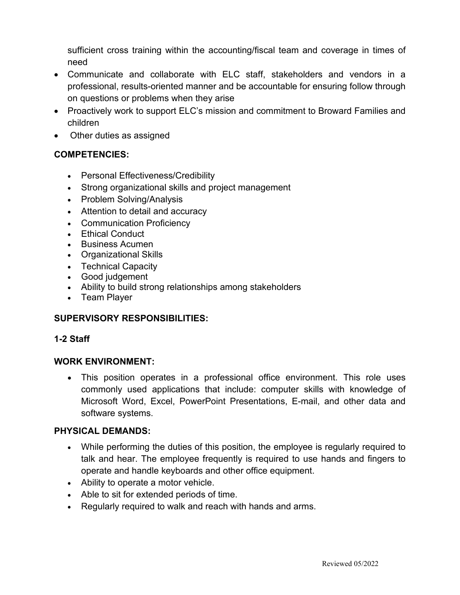sufficient cross training within the accounting/fiscal team and coverage in times of need

- Communicate and collaborate with ELC staff, stakeholders and vendors in a professional, results-oriented manner and be accountable for ensuring follow through on questions or problems when they arise
- Proactively work to support ELC's mission and commitment to Broward Families and children
- Other duties as assigned

### **COMPETENCIES:**

- Personal Effectiveness/Credibility
- Strong organizational skills and project management
- Problem Solving/Analysis
- Attention to detail and accuracy
- Communication Proficiency
- Ethical Conduct
- Business Acumen
- Organizational Skills
- Technical Capacity
- Good judgement
- Ability to build strong relationships among stakeholders
- Team Player

## **SUPERVISORY RESPONSIBILITIES:**

### **1-2 Staff**

#### **WORK ENVIRONMENT:**

• This position operates in a professional office environment. This role uses commonly used applications that include: computer skills with knowledge of Microsoft Word, Excel, PowerPoint Presentations, E-mail, and other data and software systems.

#### **PHYSICAL DEMANDS:**

- While performing the duties of this position, the employee is regularly required to talk and hear. The employee frequently is required to use hands and fingers to operate and handle keyboards and other office equipment.
- Ability to operate a motor vehicle.
- Able to sit for extended periods of time.
- Regularly required to walk and reach with hands and arms.